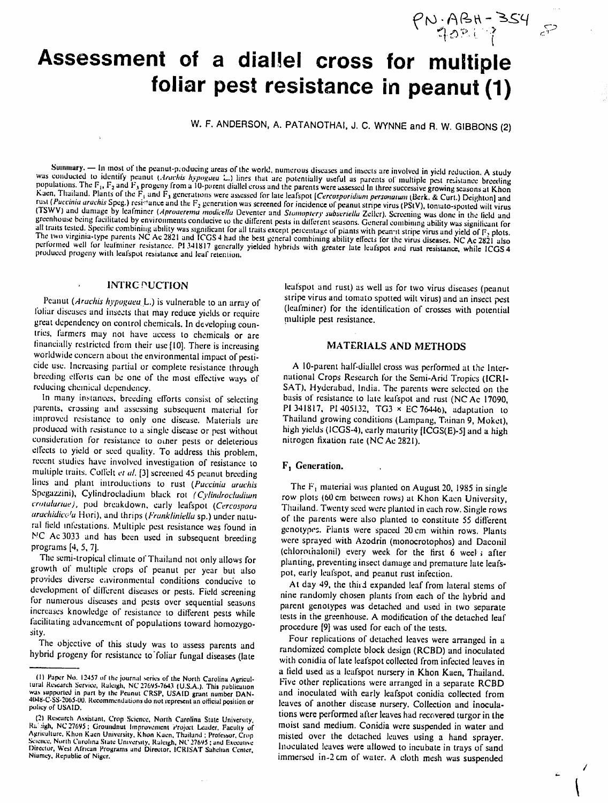# Assessment of a diallel cross for multiple **foliar pest resistance in peanut (1)**

W. F. **ANDERSON, A. PATANOTHAI, J. C. WYNNE** and R. W. **GIBBONS** (2)

performed well for leafminer resistance. PI 341817 generally yielded hybrids with greater late leafspot and rust resistance, while ICGS 4 produced progeny with leafspot resistance and leaf retention. Summary. — In most of the peanut-producing areas of the world, numerous diseases and insects are involved in yield reduction. A study<br>was conducted to identify peanut (*Acachis hypogaea L.*) lines that are potentially use

## INTRC PUCTION

 $\lambda$ 

*Peanut (Arachis hypogaea L.)* is vulnerable to an array of foliar diseases and insects that may reduce yields or require great dependency on control chemicals. In developing countries, farmers may not have access to chemicals or are financially restricted from their use [10]. There is increasing worldwide concern about the environmental impact of pesticide use. Increasing partial or complete resistance through breeding efforts can be one of the most effective ways of reducing chemical dependency.

In many instances. breeding efforts consist of selecting parents, crossing and assessing subsequent material for improved resistance to only one disease. Materials are produced with resistance to a single disease or pest without consideration for resistance to other pests or deleterious effects to yield or seed quality. To address this problem, recent studies have involved investigation of resistance to multiple traits. Colleit *et al.* [3] screened 45 peanut breeding lines and plant introductions to rust (Puccinia arachis Spegazzini), Cylindrocladium black rot (Cylindrocladium *crotulurue),* pod breakdown, early leafspot (Cercospora arachidicola Hori), and thrips (Frankliniella sp.) under natural field infestations. Multiple pest resistance was found in NC Ac 3033 and has been used in subsequent breeding programs [4, 5, 7].

The semi-tropical climate of Thailand not only allows for growth of multiple crops of" peanut per year but also provides diverse e;ivironmental conditions conducive to development of dilirent diseases or pests. Field screening for numerous diseases and pests over sequential seasons increases knowledge of resistance to different pests while facilitating advancement of populations toward homozygosity.

The objective of this study was to assess parents and hybrid progeny for resistance to'foliar fungal diseases (late leafspot and rust) as well as for two virus diseases (peanut stripe virus and tomato spotted wilt virus) and an insect pest (leafminer) for the identification of crosses with potential multiple pest resistance.

PN-ABH-354 5

# MATERIALS AND **METHODS**

A 10-parent half-diallel cross was performed at the International Crops Research for the Semi-Arid Tropics (ICRI- **SAT),** Hyderabad, India. The parents were selected on the basis of resistance to late leafspot and rust (NC Ac 17090, P1 341817, PI 405132, TG3 x EC 76446), adaptation to Thailand growing conditions (Lampang, Tainan 9, Moket), high yields (ICGS-4), early maturity [ICGS(E)-5] and a high nitrogen fixation rate (NC Ac 2821).

## F<sub>1</sub> Generation.

The  $F_1$  material was planted on August 20, 1985 in single row plots (60 cm. between rows) at Khon Kaen University, Thailand. Twenty seed were planted in each row. Single rows of the parents were also planted to constitute 55 different genotypes. Flants were spaced 20 cm within rows. Plants were sprayed with Azodrin (monocrotophos) and Daconil (chlorothalonil) every week for the first 6 weel after planting, preventing insect damage and premature late leafspot, early leafspot, and peanut rust infection.

At day 49, the third expanded leaf from lateral stems of nine randomly chosen plants from each of the hybrid and parent genotypes was detached and used in two separate tests in the greenhouse. A modification of the detached leaf procedure [9] was used for each of the tests. Four replications of detached leaves were arranged in a

rout replications of detached leaves were arranged in a<br>replanning complete block design (RCBD) and in and randomized complete block design (RCBD) and inoculated with conidia of late leatspot collected from infected leaves in <sup>a</sup>field used as a leafspot nursery in Khon Kaen, Thailand. Five other replications were arranged in a separate RCBD and inoculated with early leafspot conidia collected from leaves of another disease nursery. Collection and inoculations were performed after leaves had recovered turgor in the moist sand medium. Conidia were suspended in water and misted over the detached leaves using a hand sprayer. Inoculated leaves were allowed to incubate in trays of sand immersed in-2 cm of water. A cloth mesh was suspended

<sup>(1)</sup> Paper No. 12457 of the journal series of the North Carolina Agricultural Research Service, Rateigh, NC 27695-7643 (U.S.A.). This publication was supported in part by the Peanut CRSP, USAID grant number DAN-<br>4048-C-SS-

<sup>(2)</sup> Research Assistant, Crop Science, North Carolina State University, Ralisigh, NC 27695 ; Groundnut Improvement Project Leader, Faculty of Agriculture, Khon Kaen University, Khon Kaen, Thailand ; Professor, Crop Science,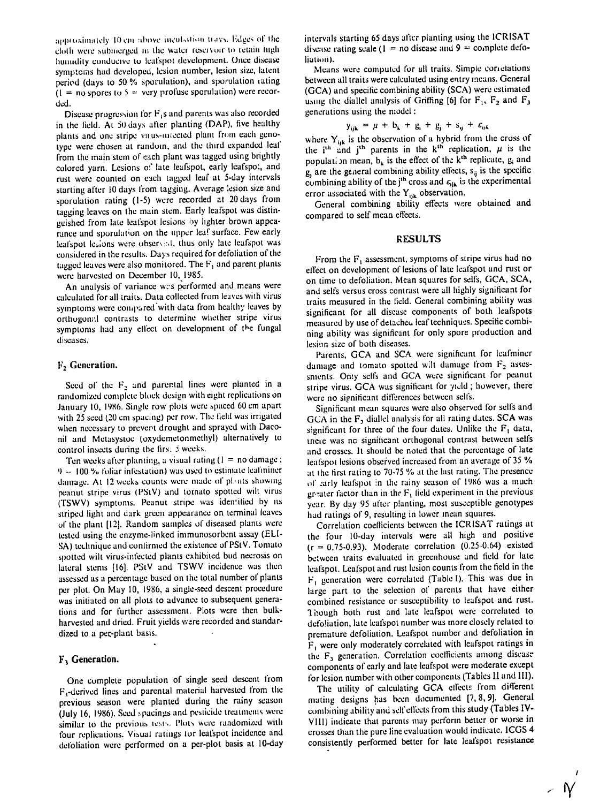approximately 10 cm above incubation travs. Edges of the cloth were submerged in the water reservoir to retain high humidity conducive to leafspot development. Once disease symptoms had developed, lesion number, lesion size, latent period (days to 50 % sporulation), and sporulation rating  $(1 = no$  spores to  $5 =$  very profuse sporulation) were recorded.

Disease progression for  $F<sub>4</sub>$ s and parents was also recorded in the field. At 50 days after planting (DAP), five healthy plants and one stripe virus-intected plant from each genotype were chosen at random, and the third expanded leaf from the main stem of each plant was tagged using brightly colored yarn. Lesions of late leafspot, early leafspot, and rust were counted on each tagged leaf at 5-day intervals starting after 10 days from tagging. Average lesion size and sporulation rating (1-5) were recorded at 20 days from tagging leaves on the main stem. Early leafspot was distinguished from late leafspot lesions by lighter brown appearance and sporulation on the upper leaf surface. Few early leafspot lesions were observed, thus only late leafspot was considered in the results. Days required for defoliation of the tagged leaves were also monitored. The  $F_1$  and parent plants were harvested on December 10, 1985.

An analysis of variance was performed and means were calculated for all traits. Data collected from leaves with virus symptoms were compared with data from healthy leaves by orthogonal contrasts to determine whether stripe virus symptoms had any effect on development of the fungal diseases.

### $F<sub>2</sub>$  Generation.

Seed of the  $F_2$  and parental lines were planted in a randomized complete block design with eight replications on January 10, 1986. Single row plots were spaced 60 cm apart with 25 seed (20 cm spacing) per row. The field was irrigated when necessary to prevent drought and sprayed with Daconil and Metasystoc (oxydemetonmethyl) alternatively to control insects during the firs.  $\beta$  weeks.

Ten weeks after planting, a visual rating  $(1 = no \, damage)$ ;  $9 - 100$  % foliar infestation) was used to estimate leafminer damage. At 12 weeks counts were made of plents showing peanut stripe virus (PStV) and tomato spotted wilt virus (TSWV) symptoms. Peanut stripe was identified by its striped light and dark green appearance on terminal leaves of the plant [12]. Random samples of diseased plants were tested using the enzyme-linked immunosorbent assay (ELI-SA) technique and confirmed the existence of PStV. Tomato spotted wilt virus-infected plants exhibited bud necrosis on lateral stems [16]. PStV and TSWV incidence was then assessed as a percentage based on the total number of plants per plot. On May 10, 1986, a single-seed descent procedure was initiated on all plots to advance to subsequent generations and for further assessment. Plots were then bulkharvested and dried. Fruit yields were recorded and standardized to a per-plant basis.

# F<sub>3</sub> Generation.

One complete population of single seed descent from  $F_1$ -derived lines and parental material harvested from the previous season were planted during the rainy season (July 16, 1986). Seed spacings and pesticide treatments were similar to the previous tests. Plots were randomized with four replications. Visual ratings for leafspot incidence and defoliation were performed on a per-plot basis at 10-day intervals starting 65 days after planting using the ICRISAT disease rating scale (1 = no disease and 9 = complete defoliation).

Means were computed for all traits. Simple correlations between all traits were calculated using entry means. General (GCA) and specific combining ability (SCA) were estimated using the diallel analysis of Griffing [6] for  $F_1$ ,  $F_2$  and  $F_3$ generations using the model:

$$
y_{ijk} = \mu + b_{k} + g_{i} + g_{j} + s_{ij} + \varepsilon_{ijk}
$$

where  $Y_{ijk}$  is the observation of a hybrid from the cross of<br>the i<sup>th</sup> and j<sup>th</sup> parents in the k<sup>th</sup> replication,  $\mu$  is the<br>population mean,  $b_k$  is the effect of the k<sup>th</sup> replicate,  $g_i$  and  $g_i$  are the general combining ability effects,  $s_{ij}$  is the specific combining ability of the j<sup>th</sup> cross and  $\varepsilon_{ijk}$  is the experimental error associated with the  $Y_{ijk}$  observation.

General combining ability effects were obtained and compared to self mean effects.

## **RESULTS**

From the  $F_1$  assessment, symptoms of stripe virus had no effect on development of lesions of late leafspot and rust or on time to defoliation. Mean squares for selfs, GCA, SCA, and selfs versus cross contrast were all highly significant for traits measured in the field. General combining ability was significant for all disease components of both leafspots measured by use of detached leaf techniques. Specific combining ability was significant for only spore production and lesion size of both diseases.

Parents, GCA and SCA were significant for leafminer damage and tomato spotted wilt damage from  $F<sub>2</sub>$  assessments. Only selfs and GCA were significant for peanut stripe virus. GCA was significant for yield; however, there were no significant differences between selfs.

Significant mean squares were also observed for selfs and GCA in the  $F_3$  diallel analysis for all rating dates. SCA was significant for three of the four dates. Unlike the  $F_1$  data, there was no significant orthogonal contrast between selfs and crosses. It should be noted that the percentage of late leafspot lesions observed increased from an average of 35 % at the first rating to 70-75 % at the last rating. The presence of early leafspot in the rainy season of 1986 was a much greater factor than in the  $F_1$  field experiment in the previous year. By day 95 after planting, most susceptible genotypes had ratings of 9, resulting in lower mean squares.

Correlation coefficients between the ICRISAT ratings at the four 10-day intervals were all high and positive  $(r = 0.75 - 0.93)$ . Moderate correlation (0.25-0.64) existed between traits evaluated in greenhouse and field for late leafspot. Leafspot and rust lesion counts from the field in the  $F_1$  generation were correlated (Table I). This was due in large part to the selection of parents that have either combined resistance or susceptibility to leafspot and rust. Though both rust and late leafspot were correlated to defoliation, late leafspot number was more closely related to premature defoliation. Leafspot number and defoliation in  $F_1$  were only moderately correlated with leafspot ratings in the  $F_3$  generation. Correlation coefficients among disease components of early and late leafspot were moderate except for lesion number with other components (Tables II and III).

The utility of calculating GCA effects from different mating designs has been documented [7, 8, 9]. General combining ability and self effects from this study (Tables IV-VIII) indicate that parents may perform better or worse in crosses than the pure line evaluation would indicate. ICGS 4 consistently performed better for late leafspot resistance

 $\angle$  N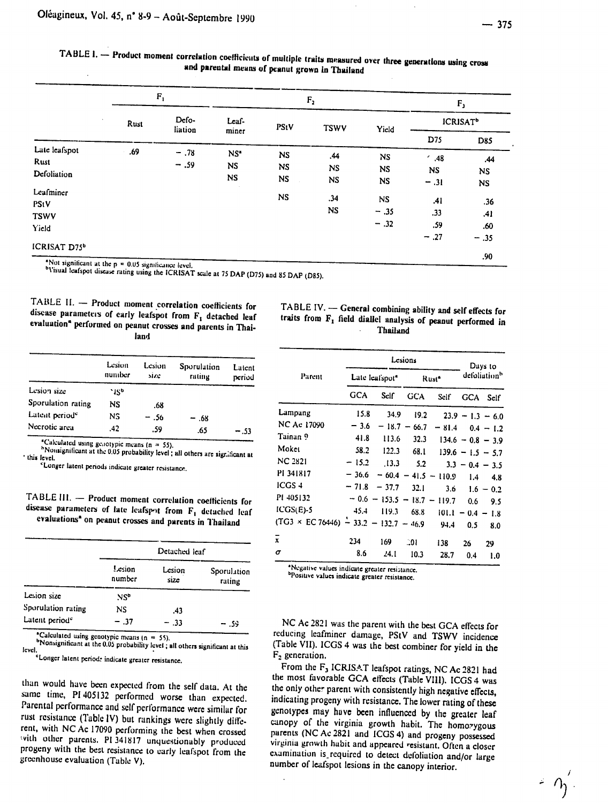| TABLE 1. - Product moment correlation coefficients of multiple traits measured over three generations using cross |
|-------------------------------------------------------------------------------------------------------------------|
| and parental means of peanut grown in Thailand                                                                    |

|                   | $\mathbf{F}_1$ |                  |                 | F <sub>2</sub> |             |           | F <sub>1</sub>             |            |
|-------------------|----------------|------------------|-----------------|----------------|-------------|-----------|----------------------------|------------|
|                   | Rust           | Defo-<br>liation | Leaf-           | PStV           | <b>TSWV</b> | Yield     | <b>ICRISAT<sup>b</sup></b> |            |
|                   |                |                  | miner           |                |             |           | D75                        | <b>D85</b> |
| Late leafspot     | .69            | $-.78$           | NS <sup>*</sup> | <b>NS</b>      | .44         | <b>NS</b> | $^{\prime}$ .48            | .44        |
| Rust              |                | $-.59$           | <b>NS</b>       | <b>NS</b>      | <b>NS</b>   | <b>NS</b> | <b>NS</b>                  | NS.        |
| Defoliation       |                |                  | NS              | <b>NS</b>      | <b>NS</b>   | <b>NS</b> | $-.31$                     | <b>NS</b>  |
| Leafminer<br>PStV |                |                  |                 | <b>NS</b>      | .34         | <b>NS</b> | .41                        | .36        |
| <b>TSWV</b>       |                |                  |                 |                | <b>NS</b>   | $-.35$    | .33                        | .41        |
| Yield             |                |                  |                 |                |             | $-.32$    | .59                        | .60        |
| ICRISAT D75b      |                |                  |                 |                |             |           | $-.27$                     | $-.35$     |
|                   |                |                  |                 |                |             |           |                            | .90        |

the  $p = 0.05$  significance level.

Not significant at the  $p = 0.05$  significance level.<br> **Visual leafspot disease rating using the ICRISAT scale at 75 DAP (D75) and 85 DAP (D85).** 

TABLE **1I. -** Product moment correlation coefficients for disease parameters of **early** leafspot from F, detached leaf evaluation\* performed on peanut crosses and parents in Thailand

|  |          | TABLE IV. - General combining ability and self effects for<br>traits from F, field diallel analysis of peanut performed in |
|--|----------|----------------------------------------------------------------------------------------------------------------------------|
|  | Thailand |                                                                                                                            |

|                            | Lesion<br>number | Lesion<br>size | Sporulation<br>rating | Latent<br>period |
|----------------------------|------------------|----------------|-----------------------|------------------|
| Lesion size                | `156             |                |                       |                  |
| Sporulation rating         | NS               | .68            |                       |                  |
| Latent period <sup>e</sup> | NS               | - .56          | $-.68$                |                  |
| Necrotic area              | .42              | .59            | .65                   | - .53            |

<sup>\*</sup>Calculated using genotypic means (n = 55).<br><sup>h</sup>Nonsignificant at the 0.05 probability level ; all others are sigr.;licant at this level. 'Longer latent periods indicate greater resistance.

TABLE III. - Product moment correlation coefficients for disease parameters of late leafspot from  $F_1$  detached leaf evaluations<sup>\*</sup> on peanut crosses and parents in Thailand

|                            | Detached leaf    |                |                       |  |  |
|----------------------------|------------------|----------------|-----------------------|--|--|
|                            | Lesion<br>number | Lesion<br>size | Sporulation<br>rating |  |  |
| Lesion size                | NS <sup>b</sup>  |                |                       |  |  |
| Sporulation rating         | NS.              | .43            |                       |  |  |
| Latent period <sup>e</sup> | - .37            | - .33          | - .59                 |  |  |

<sup>a</sup>Calculated *using genotypic means In* = 55).

b Nonsignificant at the 0.05 probability level; all others significant at this level.<br>"Longer latent period: indicate greater resistance.

than would have been expected from the self data. At the same time, PI 405132 performed worse than expected. Parental performance and self performance were similar for<br>rust resistance (Table IV) but rankings were slightly different, with NCAc 17090 performing the best when crossed with other parents. PI 341817 unquestionably produced progeny with the best resistance to early leafspot from the greenhouse evaluation (Table V).

|                                              |            | Lesions                    | Days to    |                   |                          |             |
|----------------------------------------------|------------|----------------------------|------------|-------------------|--------------------------|-------------|
| Parent                                       |            | Late leafspot <sup>4</sup> |            | Rust <sup>®</sup> | defoliation <sup>n</sup> |             |
|                                              | <b>GCA</b> | Self                       | <b>GCA</b> | Self <sup>-</sup> | <b>GCA</b>               | Self        |
| Lampang                                      | 15.8       | 34.9                       | 19.2       |                   | $23.9 - 1.3 - 6.0$       |             |
| NC Ac 17090                                  | $-3.6$     | $-18.7 -$                  | 66.7       | $-81.4$           |                          | $0.4 - 1.2$ |
| Tainan 9                                     | 41.8       | 113.6                      | 32.3       |                   | $134.6 - 0.8 - 3.9$      |             |
| Moket                                        | 58.2       | 122.3                      | 68.1       |                   | $139.6 - 1.5 - 5.7$      |             |
| <b>NC 2821</b>                               | $-15.2$    | .13.3                      | 5.2        |                   | $3.3 - 0.4 - 3.5$        |             |
| PI 341817                                    | $-36.6$    | $-60.4$                    |            | $-41.5 - 110.9$   | 1.4                      | 4.8         |
| ICGS <sub>4</sub>                            | $-71.8$    | $-37.7$                    | 32.1       | 3.6               |                          | $1.6 - 0.2$ |
| PI 405132                                    | $-0.6$     | $-153.5 - 18.7$            |            | $-119.7$          | 0.6                      | 9.5         |
| $ICGS(E)-5$                                  | $-45.4$    | 119.3                      | 68.8       | 101.1             | $\qquad \qquad -$        | $0.4 - 1.8$ |
| $(TG3 \times EC76446) - 33.2 - 132.7 - 46.9$ |            |                            |            | 94.4              | 0.5                      | 8.0         |
| $\bar{\mathbf{x}}$                           | 234        | 169                        | -01        | 138               | 26                       | 29          |
| σ                                            | 8.6        | 24. l                      | 10.3       | 28.7              | 0.4                      | 1.0         |

\*Negative values indicate greater resistance.<br><sup>b</sup>Positive values indicate greater resistance.

NC Ac 2821 was the parent with the best GCA effects for reducing leafminer damage, PStV and TSWV incidence Trable VII). ICGS 4 was the best combiner for yield in the F. Table VII). ICGS 4 was the best combiner for yield in the

F<sub>2</sub> generation.<br>From the F<sub>3</sub> ICRISAT leafspot ratings, NC Ac 2821 had the most favorable GCA effects (Table VIII). ICGS 4 was the only other parent with consistently high negative effects, indicating progeny with resistance. The lower rating of these genotypes may have been influenced **by** the greater leaf canopy of the virginia growth habit. The homozygous parents (NC Ac 2821 and ICGS 4) and progeny possessed<br>virginia growth habit and appeared resistant. Often a closer<br>examination is required to detect defoliation and/or large<br>number of leafspot lesions in the canopy interio

 $\leq \alpha'_1$ .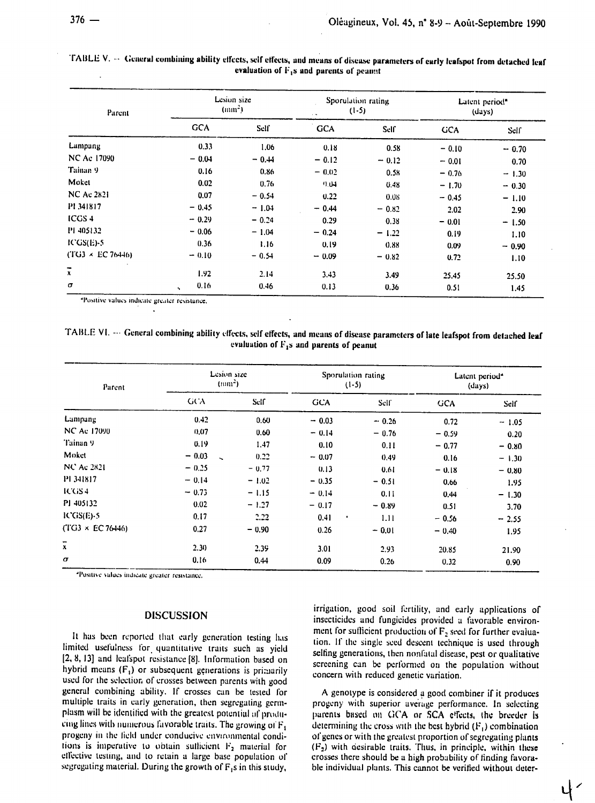| Parent                 | Lesion size<br>(mm <sup>2</sup> ) |         | Sporulation rating<br>$(1-5)$<br>$\sim$ $\sim$ |         | Latent period"<br>(days) |         |
|------------------------|-----------------------------------|---------|------------------------------------------------|---------|--------------------------|---------|
|                        | <b>GCA</b>                        | Self    | <b>GCA</b>                                     | Self    | <b>GCA</b>               | Self    |
| Lampang                | 0.33                              | 1.06    | 0.18                                           | 0.58    | $-0.10$                  | $-0.70$ |
| <b>NC Ac 17090</b>     | $-0.04$                           | $-0.44$ | $-0.12$                                        | $-0.12$ | $-0.01$                  | 0.70    |
| Tainan 9               | 0.16                              | 0.86    | $= 0.02$                                       | 0.58    | $-0.76$                  | $-1.30$ |
| Moket                  | 0.02                              | 0.76    | 0.04                                           | 0.48    | $-1.70$                  | $-0.30$ |
| <b>NC Ac 2821</b>      | 0.07                              | $-0.54$ | 0.22                                           | 0.08    | $-0.45$                  | $-1.10$ |
| P1 341817              | $-0.45$                           | $-1.04$ | $-0.44$                                        | $-0.82$ | 2.02                     | 2.90    |
| <b>ICGS4</b>           | $-0.29$                           | $-0.24$ | 0.29                                           | 0.38    | $-0.01$                  | $-1.50$ |
| PI 405132              | $-0.06$                           | $-1.04$ | $-0.24$                                        | $-1.22$ | 0.19                     | 1.10    |
| $ICGS(E)-5$            | 0.36                              | 1.16    | 0.19                                           | 0.88    | 0.09                     | $-0.90$ |
| $(TG3 \times EC76446)$ | $-0.10$                           | $-0.54$ | $-0.09$                                        | $-0.82$ | 0.72                     | 1.10    |
| $\overline{x}$         | 1.92 <sub>1</sub>                 | 2.14    | 3.43                                           | 3.49    | 25.45                    | 25.50   |
| σ                      | 0.16<br>$\ddot{\phantom{1}}$      | 0.46    | 0.13                                           | 0.36    | 0.51                     | 1.45    |

TABLE V. -- General combining ability effects, self effects, and means of disease parameters of early leafspot from detached leaf evaluation of  $F_1s$  and parents of peanut

\*Positive values indicate greater resistance,

TABLE VI. - General combining ability effects, self effects, and means of disease parameters of late leafspot from detached leaf evaluation of  $F_1s$  and parents of peanut

| Parent                 | (mm <sup>2</sup> )              | Lesion size | Sporulation rating<br>$(1-5)$ |         | Latent period <sup>®</sup><br>(days) |         |
|------------------------|---------------------------------|-------------|-------------------------------|---------|--------------------------------------|---------|
|                        | GCA.                            | Self        | <b>GCA</b>                    | Self    | <b>GCA</b>                           | Self    |
| Lampang                | 0.42                            | 0.60        | $-0.03$                       | $-0.26$ | 0.72                                 | $-1.05$ |
| NC Ac 17090            | 0.07                            | 0.60        | $-0.14$                       | $-0.76$ | $-0.59$                              | 0.20    |
| Tainan 9               | 0.19                            | 1.47        | 0.10                          | 0.11    | $-0.77$                              | $-0.80$ |
| Moket                  | $-0.03$<br>$\ddot{\phantom{0}}$ | 0.22        | $-0.07$                       | 0.49    | 0.16                                 | $-1.30$ |
| <b>NC Ac 2821</b>      | $-0.25$                         | $-0.77$     | 0.13                          | 0.61    | $-0.18$                              | $-0.80$ |
| PI 341817              | $-0.14$                         | $-1.02$     | $-0.35$                       | $-0.51$ | 0.66                                 | 1.95    |
| ICGS4                  | $-0.73$                         | $-1.15$     | $-0.14$                       | 0.11    | 0.44                                 | $-1.30$ |
| PI 405132              | 0.02                            | $-1.27$     | $-0.17$                       | $-0.89$ | 0.51                                 | 3.70    |
| ICGS(E)-5              | 0.17                            | 2.22        | 0.41<br>٠                     | 1.11    | $-0.56$                              | $-2.55$ |
| $(TG3 \times EC76446)$ | 0.27                            | $-0.90$     | 0.26                          | $-0.01$ | $-0.40$                              | 1.95    |
| $\overline{x}$         | 2.30                            | 2.39        | 3.01                          | 2.93    | 20.85                                | 21.90   |
| σ                      | 0.16                            | 0.44        | 0.09                          | 0.26    | 0.32                                 | 0.90    |

"Positive values indicate greater resistance,

#### **DISCUSSION**

It has been reported that early generation testing has limited usefulness for quantitative traits such as yield [2, 8, 13] and leafspot resistance [8]. Information based on hybrid means  $(F_1)$  or subsequent generations is primarily used for the selection of crosses between parents with good general combining ability. If crosses can be tested for multiple traits in early generation, then segregating germplasm will be identified with the greatest potential of producing lines with numerous favorable traits. The growing of  $F_4$ progeny in the field under conducive environmental conditions is imperative to obtain sufficient  $F_2$  material for effective testing, and to retain a large base population of segregating material. During the growth of  $F_1s$  in this study,

irrigation, good soil fertility, and early applications of insecticides and fungicides provided a favorable environment for sufficient production of  $F<sub>2</sub>$  seed for further evaluation. If the single seed descent technique is used through selfing generations, then nonfatal disease, pest or qualitative screening can be performed on the population without concern with reduced genetic variation.

A genotype is considered a good combiner if it produces progeny with superior average performance. In selecting parents based on GCA or SCA effects, the breeder is determining the cross with the best hybrid  $(F_1)$  combination of genes or with the greatest proportion of segregating plants (F<sub>2</sub>) with desirable traits. Thus, in principle, within these crosses there should be a high probability of finding favorable individual plants. This cannot be verified without deter-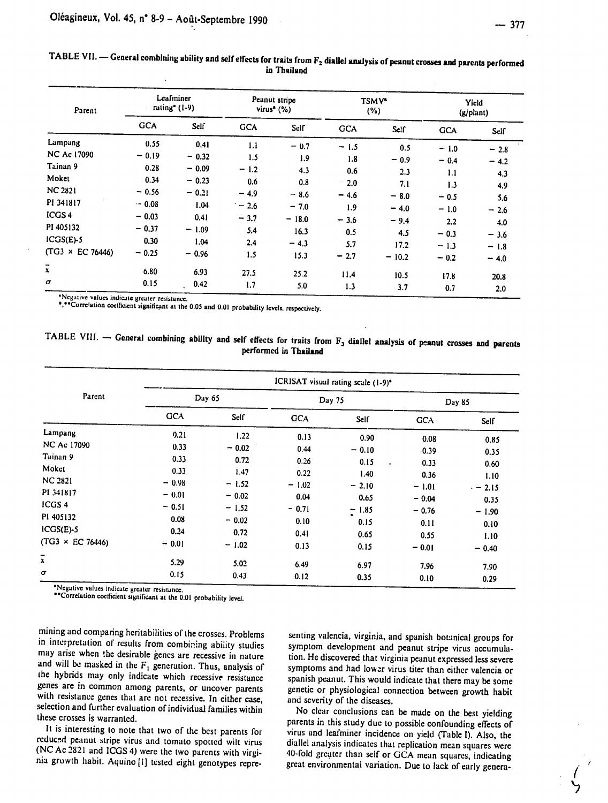|  |  | ٠ |
|--|--|---|
|  |  |   |
|  |  |   |
|  |  |   |
|  |  |   |
|  |  |   |

| Parent                    | Leafminer<br>rating <sup><math>(1-9)</math></sup> |         | Peanut stripe<br>virus <sup>a</sup> $(\% )$ |         | <b>TSMV*</b><br>(%) |         | Yield<br>(g/plant) |        |
|---------------------------|---------------------------------------------------|---------|---------------------------------------------|---------|---------------------|---------|--------------------|--------|
|                           | <b>GCA</b>                                        | Self    | <b>GCA</b>                                  | Self    | <b>GCA</b>          | Self    | <b>GCA</b>         | Self   |
| Lampang                   | 0.55                                              | 0.41    | 1.1                                         | $-0.7$  | $-1.5$              | 0.5     | $-1.0$             | $-2.8$ |
| <b>NC Ac 17090</b>        | $-0.19$                                           | $-0.32$ | 1.5                                         | 1.9     | 1.8                 | $-0.9$  | $-0.4$             |        |
| Tainan 9                  | 0.28                                              | $-0.09$ | $-1.2$                                      | 4.3     | 0.6                 | 2.3     | 1.1                | $-4.2$ |
| Moket                     | 0.34                                              | $-0.23$ | 0.6                                         | 0.8     | $\cdot$ 2.0         | 7.1     |                    | 4.3    |
| <b>NC 2821</b>            | $-0.56$                                           | $-0.21$ | $-4.9$                                      | $-8.6$  | $-4.6$              | $-8.0$  | 1.3                | 4.9    |
| PI 341817                 | $-0.08$                                           | 1.04    | $-2.6$                                      | $-7.0$  | 1.9                 | $-4.0$  | $-0.5$             | 5.6    |
| ICGS <sub>4</sub>         | $-0.03$                                           | 0,41    | $-3.7$                                      | $-18.0$ | $-3.6$              |         | $-1.0$             | $-2.6$ |
| PI 405132                 | $-0.37$                                           | $-1.09$ | 5,4                                         | 16.3    |                     | $-9.4$  | 2,2                | 4.0    |
| $ICGS(E)-5$               | 0.30                                              | 1.04    | 2.4                                         |         | 0.5                 | 4.5     | $-0.3$             | $-3.6$ |
| (TG3 × EC 76446)          | $-0.25$                                           | $-0.96$ |                                             | $-4.3$  | 5.7                 | 17.2    | $-1.3$             | $-1.8$ |
|                           |                                                   |         | 1.5                                         | 15.3    | $-2.7$              | $-10.2$ | $-0.2$             | $-4.0$ |
| $\overline{\overline{x}}$ | 6.80                                              | 6.93    | 27.5                                        | 25.2    | 11.4                | 10.5    | 17.8               | 20.8   |
| σ                         | 0.15                                              | 0.42    | 1.7                                         | 5.0     | 1.3                 | 3.7     | 0.7                | 2.0    |

| TABLE VII. — General combining ability and self effects for traits from $F_2$ diallel analysis of peanut crosses and parents performer<br>in Thailand |
|-------------------------------------------------------------------------------------------------------------------------------------------------------|
|-------------------------------------------------------------------------------------------------------------------------------------------------------|

'Negative values indicate **greater**resistance.

\*Negative values indicate greater resistance.<br>\*,\*\*Correlation coefficient significant at the 0.05 and 0.01 probability levels, respectively.

| TABLE VIII. $-$ General combining ability and self effects for traits from $F_3$ diallel analysis of peanut crosses and parents |                       |  |
|---------------------------------------------------------------------------------------------------------------------------------|-----------------------|--|
|                                                                                                                                 | performed in Thailand |  |

| Parent                    | ICRISAT visual rating scale (1-9)* |         |            |                   |            |         |
|---------------------------|------------------------------------|---------|------------|-------------------|------------|---------|
|                           | Day 65                             |         | Day 75     |                   | Day 85     |         |
|                           | <b>GCA</b>                         | Self    | <b>GCA</b> | Selt <sup>-</sup> | <b>GCA</b> | Self    |
| Lampang                   | 0.21                               | 1.22    | 0.13       | 0.90              | 0.08       | 0.85    |
| NC Ac 17090               | 0.33                               | $-0.02$ | 0.44       | $-0.10$           | 0.39       | 0.35    |
| Tainan 9                  | 0.33                               | 0.72    | 0.26       | 0.15<br>$\bullet$ | 0.33       |         |
| Moket                     | 0.33                               | 1.47    | 0.22       | 1.40              | 0.36       | 0.60    |
| <b>NC 2821</b>            | $-0.98$                            | $-1.52$ | $-1.02$    | $-2.10$           | $-1.01$    | 1.10    |
| PI 341817                 | $-0.01$                            | $-0.02$ | 0.04       | 0.65              | $-0.04$    | $-2.15$ |
| ICGS <sub>4</sub>         | $-0.51$                            | $-1.52$ | $-0.71$    |                   |            | 0.35    |
| PI 405132                 | 0.08                               | $-0.02$ | 0.10       | $-1.85$           | $-0.76$    | $-1.90$ |
| $ICGS(E)-5$               | 0.24                               | 0.72    |            | 0.15              | 0.11       | 0.10    |
| $(TG3 \times EC 76446)$   | $-0.01$                            |         | 0.41       | 0.65              | 0.55       | 1.10    |
|                           |                                    | $-1.02$ | 0.13       | 0.15              | $-0.01$    | $-0.40$ |
| $\overline{\overline{x}}$ | 5.29                               | 5.02    | 6.49       | 6.97              | 7.96       | 7.90    |
| $\sigma$                  | 0.15                               | 0.43    | 0.12       | 0.35              | 0.10       | 0.29    |

:Negative **values** indicate greater resistance.

\*Correlation coefficient significant at the **0.01** probability level.

**mining** and comparing heritabilities of the crosses. Problems in interpretation of results from combining ability studies may arise when the desirable *genes* are recessive in nature and will be masked in the F, generation. Thus, analysis of and will be masked in the  $F_1$  generation. Thus, analysis of the hybrids may only indicate which recessive resistance genes are in common among parents, or uncover parents with resistance genes that are not recessive. In either case, selection and further evaluation of individual families within these crosses is warranted.

It is interesting to note that two of the best parents for **reduced peanut stripe virus and tomato spotted wilt virus** (NC Ac 2821 and ICGS 4) were the two parents with virgi-(NC Ac 2821 and ICGS 4) were the two parents with virginia growth habit. Aquino [I] tested eight genotypes repre-

senting valencia, virginia, and spanish botanical groups for symptom development and peanut stripe virus accumulation. He discovered that virginia peanut expressed less severe symptoms and had lowzr virus titer than either valencia or spanish peanut. This would indicate that there may be some genetic or physiological connection between growth habit and severity of the diseases.

No clear conclusions can be made on the best yielding parents in this study due to possible confounding effects of virus and leafminer incidence on yield (Table **1).** Also, the diallel analysis indicates that replication mean squares were 40-fold greater than self or **GCA** mean squares, indicating great environmental variation. Due to lack of **early** genera